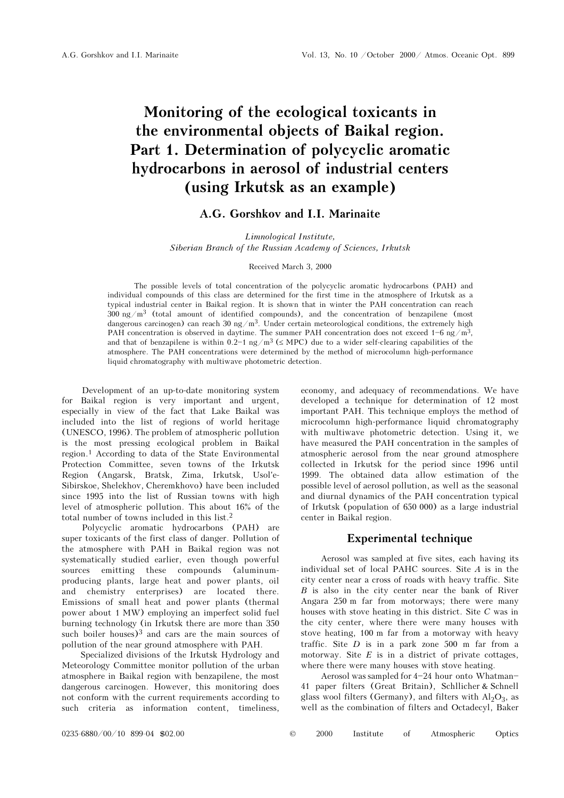# Monitoring of the ecological toxicants in the environmental objects of Baikal region. Part 1. Determination of polycyclic aromatic hydrocarbons in aerosol of industrial centers (using Irkutsk as an example)

## A.G. Gorshkov and I.I. Marinaite

Limnological Institute, Siberian Branch of the Russian Academy of Sciences, Irkutsk

#### Received March 3, 2000

The possible levels of total concentration of the polycyclic aromatic hydrocarbons (PAH) and individual compounds of this class are determined for the first time in the atmosphere of Irkutsk as a typical industrial center in Baikal region. It is shown that in winter the PAH concentration can reach  $300 \text{ ng/m}^3$  (total amount of identified compounds), and the concentration of benzapilene (most dangerous carcinogen) can reach 30 ng/m<sup>3</sup>. Under certain meteorological conditions, the extremely high PAH concentration is observed in daytime. The summer PAH concentration does not exceed  $1-6$  ng/m<sup>3</sup>. and that of benzapilene is within  $0.2-1$  ng/m<sup>3</sup> ( $\leq$  MPC) due to a wider self-clearing capabilities of the atmosphere. The PAH concentrations were determined by the method of microcolumn high-performance liquid chromatography with multiwave photometric detection.

Development of an up-to-date monitoring system for Baikal region is very important and urgent, especially in view of the fact that Lake Baikal was included into the list of regions of world heritage (UNESCO, 1996). The problem of atmospheric pollution is the most pressing ecological problem in Baikal region.1 According to data of the State Environmental Protection Committee, seven towns of the Irkutsk Region (Angarsk, Bratsk, Zima, Irkutsk, Usol'e-Sibirskoe, Shelekhov, Cheremkhovo) have been included since 1995 into the list of Russian towns with high level of atmospheric pollution. This about 16% of the total number of towns included in this list.2

Polycyclic aromatic hydrocarbons (PAH) are super toxicants of the first class of danger. Pollution of the atmosphere with PAH in Baikal region was not systematically studied earlier, even though powerful sources emitting these compounds (aluminumproducing plants, large heat and power plants, oil and chemistry enterprises) are located there. Emissions of small heat and power plants (thermal power about 1 MW) employing an imperfect solid fuel burning technology (in Irkutsk there are more than 350 such boiler houses) $3$  and cars are the main sources of pollution of the near ground atmosphere with PAH.

Specialized divisions of the Irkutsk Hydrology and Meteorology Committee monitor pollution of the urban atmosphere in Baikal region with benzapilene, the most dangerous carcinogen. However, this monitoring does not conform with the current requirements according to such criteria as information content, timeliness,

economy, and adequacy of recommendations. We have developed a technique for determination of 12 most important PAH. This technique employs the method of microcolumn high-performance liquid chromatography with multiwave photometric detection. Using it, we have measured the PAH concentration in the samples of atmospheric aerosol from the near ground atmosphere collected in Irkutsk for the period since 1996 until 1999. The obtained data allow estimation of the possible level of aerosol pollution, as well as the seasonal and diurnal dynamics of the PAH concentration typical of Irkutsk (population of 650 000) as a large industrial center in Baikal region.

## Experimental technique

Aerosol was sampled at five sites, each having its individual set of local PAHC sources. Site  $A$  is in the city center near a cross of roads with heavy traffic. Site  $B$  is also in the city center near the bank of River Angara 250 m far from motorways; there were many houses with stove heating in this district. Site C was in the city center, where there were many houses with stove heating, 100 m far from a motorway with heavy traffic. Site  $D$  is in a park zone 500 m far from a motorway. Site  $E$  is in a district of private cottages, where there were many houses with stove heating.

Aerosol was sampled for  $4-24$  hour onto Whatman-41 paper filters (Great Britain), Schllicher & Schnell glass wool filters (Germany), and filters with  $Al_2O_3$ , as well as the combination of filters and Octadecyl, Baker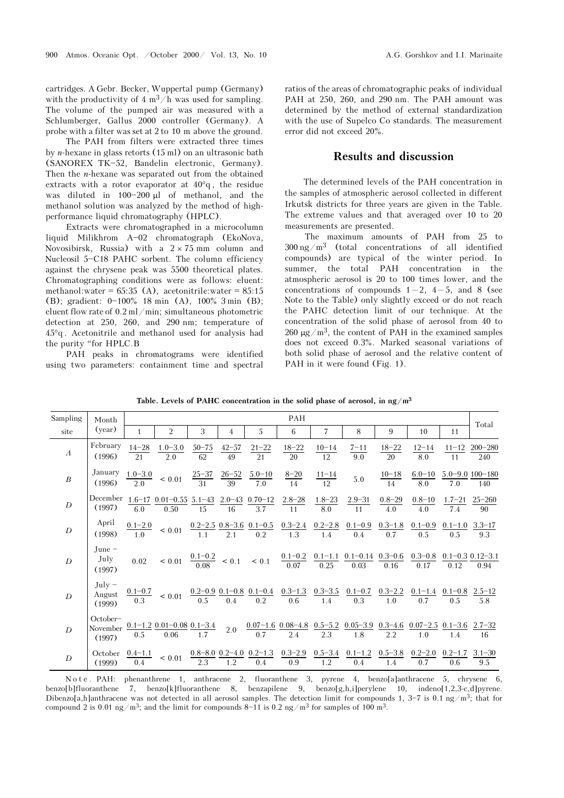cartridges. A Gebr. Becker, Wuppertal pump (Germany) with the productivity of  $4 \text{ m}^3/\text{h}$  was used for sampling. The volume of the pumped air was measured with a Schlumberger, Gallus 2000 controller (Germany). A probe with a filter was set at 2 to 10 m above the ground.

The PAH from filters were extracted three times by n-hexane in glass retorts (15 ml) on an ultrasonic bath (SANOREX TK-52, Bandelin electronic, Germany). Then the  $n$ -hexane was separated out from the obtained extracts with a rotor evaporator at 40°q , the residue was diluted in  $100-200$  μl of methanol, and the methanol solution was analyzed by the method of highperformance liquid chromatography (HPLC).

Extracts were chromatographed in a microcolumn liquid Milikhrom A-02 chromatograph (EkoNova, Novosibirsk, Russia) with a  $2 \times 75$  mm column and Nucleosil 5-C18 PAHC sorbent. The column efficiency against the chrysene peak was 5500 theoretical plates. Chromatographing conditions were as follows: eluent: methanol:water =  $65:35$  (A), acetonitrile:water =  $85:15$ (B); gradient:  $0-100\%$  18 min (A),  $100\%$  3 min (B); eluent flow rate of 0.2 ml/min; simultaneous photometric detection at 250, 260, and 290 nm; temperature of 45°q . Acetonitrile and methanol used for analysis had the purity "for HPLC.B

PAH peaks in chromatograms were identified using two parameters: containment time and spectral ratios of the areas of chromatographic peaks of individual PAH at 250, 260, and 290 nm. The PAH amount was determined by the method of external standardization with the use of Supelco Co standards. The measurement error did not exceed 20%.

## Results and discussion

The determined levels of the PAH concentration in the samples of atmospheric aerosol collected in different Irkutsk districts for three years are given in the Table. The extreme values and that averaged over 10 to 20 measurements are presented.

The maximum amounts of PAH from 25 to  $300 \text{ ng/m}^3$  (total concentrations of all identified compounds) are typical of the winter period. In summer, the total PAH concentration in the atmospheric aerosol is 20 to 100 times lower, and the concentrations of compounds  $1-2$ ,  $4-5$ , and 8 (see Note to the Table) only slightly exceed or do not reach the PAHC detection limit of our technique. At the concentration of the solid phase of aerosol from 40 to 260  $\mu$ g/m<sup>3</sup>, the content of PAH in the examined samples does not exceed 0.3%. Marked seasonal variations of both solid phase of aerosol and the relative content of PAH in it were found (Fig. 1).

| Sampling         | Month<br>(year)                | PAH                   |                                                                                                                                                                                                                                                                          |                 |                  |                 |                                                                              |                    |                                                                                                                                                                                                                                                                                                       |                   |                   |                                     |                             |
|------------------|--------------------------------|-----------------------|--------------------------------------------------------------------------------------------------------------------------------------------------------------------------------------------------------------------------------------------------------------------------|-----------------|------------------|-----------------|------------------------------------------------------------------------------|--------------------|-------------------------------------------------------------------------------------------------------------------------------------------------------------------------------------------------------------------------------------------------------------------------------------------------------|-------------------|-------------------|-------------------------------------|-----------------------------|
| site             |                                | $\mathbf{1}$          | 2                                                                                                                                                                                                                                                                        | 3               | 4                | 5               | 6                                                                            | 7                  | 8                                                                                                                                                                                                                                                                                                     | 9                 | 10                | 11                                  | Total                       |
| $\boldsymbol{A}$ | February<br>(1996)             | $14 - 28$<br>21       | $1.0 - 3.0$<br>2.0                                                                                                                                                                                                                                                       | $50 - 75$<br>62 | $42 - 57$<br>49  | $21 - 22$<br>21 | $18 - 22$<br>$\overline{20}$                                                 | $\frac{10-14}{12}$ | $7 - 11$<br>$\overline{9.0}$                                                                                                                                                                                                                                                                          | $18 - 22$<br>20   | $12 - 14$<br>8.0  | 11                                  | $11-12$ 200-280<br>240      |
| $\boldsymbol{B}$ | January<br>(1996)              | $1.0 - 3.0$           | ${}< 0.01$                                                                                                                                                                                                                                                               |                 |                  |                 | $\frac{25-37}{31}$ $\frac{26-52}{39}$ $\frac{5.0-10}{7.0}$ $\frac{8-20}{14}$ | $\frac{11-14}{12}$ | 5.0                                                                                                                                                                                                                                                                                                   | $10 - 18$<br>14   | 8.0               | $6.0-10$ $5.0-9.0$ $100-180$<br>7.0 | 140                         |
| D                | December<br>(1997)             | 6.0                   | $1.6-17$ 0.01-0.55 5.1-43 2.0-43 0.70-12 2.8-28<br>0.50                                                                                                                                                                                                                  | 15              | $-16$            | 3.7             | 11                                                                           | $1.8 - 23$<br>8.0  | $2.9 - 31$<br>11                                                                                                                                                                                                                                                                                      | $0.8 - 29$<br>4.0 | $0.8 - 10$<br>4.0 | 7.4                                 | $1.7 - 21$ $25 - 260$<br>90 |
| $\boldsymbol{D}$ | April<br>(1998)                | $\frac{0.1-2.0}{1.0}$ | $\frac{0}{2}$ < 0.01                                                                                                                                                                                                                                                     |                 |                  |                 |                                                                              |                    | $\underbrace{0.2-2.5}_{1.1} \ \underline{0.8-3.6}_{2.1} \ \underline{0.1-0.5}_{0.2} \ \ \underline{0.3-2.4}_{1.3} \ \ \underline{0.2-2.8}_{1.4} \ \ \underline{0.1-0.9}_{0.4} \ \ \underline{0.3-1.8}_{0.7} \ \ \underline{0.1-0.9}_{0.5} \ \ \underline{0.1-1.0}_{0.5} \ \ \underline{3.3-17}_{0.3}$ |                   |                   |                                     |                             |
| $\overline{D}$   | $June -$<br>July<br>(1997)     |                       | $0.02 \qquad < 0.01 \quad \frac{0.1-0.2}{0.08} \quad < 0.1 \qquad < 0.1 \qquad \frac{0.1-0.2}{0.07} \quad \frac{0.1-1.1}{0.25} \quad \frac{0.1-0.14}{0.03} \quad \frac{0.3-0.6}{0.16} \quad \frac{0.3-0.8}{0.17} \quad \frac{0.1-0.3}{0.12} \quad \frac{0.12-3.1}{0.94}$ |                 |                  |                 |                                                                              |                    |                                                                                                                                                                                                                                                                                                       |                   |                   |                                     |                             |
| $\overline{D}$   | $July -$<br>August<br>(1999)   |                       | $\frac{0.1-0.7}{0.3}$ $< 0.01$ $\frac{0.2-0.9}{0.5}$ $\frac{0.1-0.8}{0.4}$ $\frac{0.1-0.4}{0.2}$ $\frac{0.3-1.3}{0.6}$ $\frac{0.3-3.5}{1.4}$ $\frac{0.1-0.7}{0.3}$ $\frac{0.3-2.2}{1.0}$ $\frac{0.1-1.4}{0.7}$ $\frac{0.1-0.8}{0.5}$ $\frac{2.5-12}{5.8}$                |                 |                  |                 |                                                                              |                    |                                                                                                                                                                                                                                                                                                       |                   |                   |                                     |                             |
| $\overline{D}$   | October-<br>November<br>(1997) |                       | $\frac{0.1-1.2}{0.5} \frac{0.01-0.08}{0.06} \frac{0.1-3.4}{1.7}$                                                                                                                                                                                                         |                 | 2.0              | 0.7             | $\overline{2.4}$                                                             | $\overline{2.3}$   | $0.07-1.6$ $0.08-4.8$ $0.5-5.2$ $0.05-3.9$ $0.3-4.6$ $0.07-2.5$ $0.1-3.6$ $2.7-32$<br>1.8                                                                                                                                                                                                             | 2.2               | 1.0               | 1.4                                 | 16                          |
| D                | October<br>(1999)              | $0.4 - 1.1$<br>0.4    | ${}< 0.01$                                                                                                                                                                                                                                                               | 2.3             | $\overline{1.2}$ | 0.4             | 0.9                                                                          | $\overline{1.2}$   | $\underbrace{0.8-8.0}\underbrace{0.2-4.0}\underbrace{0.2-1.3}\underbrace{0.3-2.9}\underbrace{0.5-3.4}\underbrace{0.1-1.2}\underbrace{0.5-3.8}\underbrace{0.2-2.0}\underbrace{0.2-1.7}\underbrace{3.1-30}$<br>$0.4\,$                                                                                  | 1.4               | 0.7               | 0.6                                 | 9.5                         |

Table. Levels of PAHC concentration in the solid phase of aerosol, in  $ng/m<sup>3</sup>$ 

N o t e . PAH: phenanthrene 1, anthracene 2, fluoranthene 3, pyrene 4, benzo[a]anthracene 5, chrysene 6, benzo[b]fluoranthene 7, benzo[k]fluoranthene 8, benzapilene 9, benzo[g,h,i]perylene 10, indeno[1,2,3-c,d]pyrene. Dibenzo[a,h]anthracene was not detected in all aerosol samples. The detection limit for compounds 1,  $3-7$  is 0.1 ng/m<sup>3</sup>; that for compound 2 is 0.01 ng/m<sup>3</sup>; and the limit for compounds 8-11 is 0.2 ng/m<sup>3</sup> for samples of 100 m<sup>3</sup>.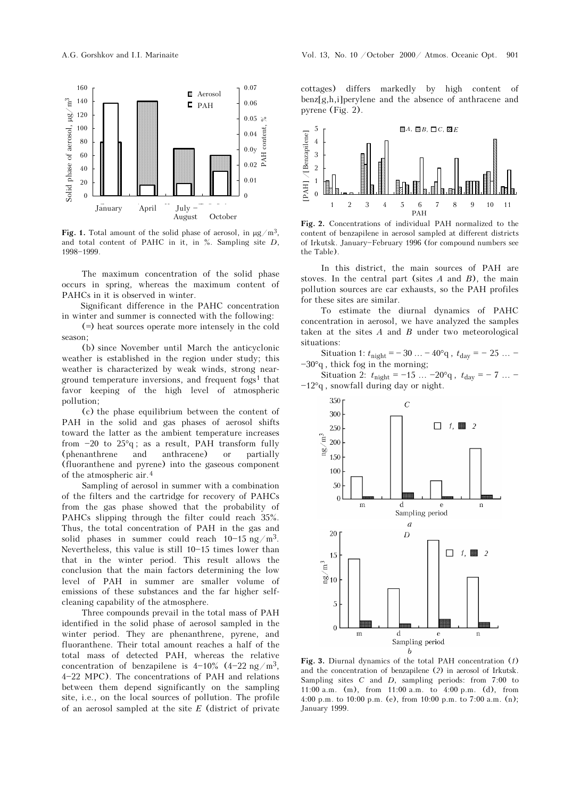

Fig. 1. Total amount of the solid phase of aerosol, in  $\mu$ g/m<sup>3</sup>, and total content of PAHC in it, in  $\%$ . Sampling site D, 1998-1999.

The maximum concentration of the solid phase occurs in spring, whereas the maximum content of PAHCs in it is observed in winter.

Significant difference in the PAHC concentration in winter and summer is connected with the following:

(=) heat sources operate more intensely in the cold season;

(b) since November until March the anticyclonic weather is established in the region under study; this weather is characterized by weak winds, strong nearground temperature inversions, and frequent fogs<sup>1</sup> that favor keeping of the high level of atmospheric pollution;

(c) the phase equilibrium between the content of PAH in the solid and gas phases of aerosol shifts toward the latter as the ambient temperature increases from  $-20$  to  $25^{\circ}q$ ; as a result, PAH transform fully (phenanthrene and anthracene) or partially (fluoranthene and pyrene) into the gaseous component of the atmospheric air.4

Sampling of aerosol in summer with a combination of the filters and the cartridge for recovery of PAHCs from the gas phase showed that the probability of PAHCs slipping through the filter could reach 35%. Thus, the total concentration of PAH in the gas and solid phases in summer could reach  $10-15$  ng/m<sup>3</sup>. Nevertheless, this value is still  $10-15$  times lower than that in the winter period. This result allows the conclusion that the main factors determining the low level of PAH in summer are smaller volume of emissions of these substances and the far higher selfcleaning capability of the atmosphere.

Three compounds prevail in the total mass of PAH identified in the solid phase of aerosol sampled in the winter period. They are phenanthrene, pyrene, and fluoranthene. Their total amount reaches a half of the total mass of detected PAH, whereas the relative concentration of benzapilene is  $4-10\%$  ( $4-22$  ng/m<sup>3</sup>, 4-22 MPC). The concentrations of PAH and relations between them depend significantly on the sampling site, i.e., on the local sources of pollution. The profile of an aerosol sampled at the site  $E$  (district of private

cottages) differs markedly by high content of benz[g,h,i]perylene and the absence of anthracene and pyrene (Fig. 2).



Fig. 2. Concentrations of individual PAH normalized to the content of benzapilene in aerosol sampled at different districts of Irkutsk. January-February 1996 (for compound numbers see the Table).

In this district, the main sources of PAH are stoves. In the central part (sites  $A$  and  $B$ ), the main pollution sources are car exhausts, so the PAH profiles for these sites are similar.

To estimate the diurnal dynamics of PAHC concentration in aerosol, we have analyzed the samples taken at the sites  $A$  and  $B$  under two meteorological situations:

Situation 1:  $t_{\text{night}} = -30 ... - 40^{\circ}q$ ,  $t_{\text{day}} = -25 ...$  $-30°q$ , thick fog in the morning;

Situation 2:  $t_{\text{night}} = -15 ... -20^{\circ}q$ ,  $t_{\text{day}} = -7 ...$  $-12°q$ , snowfall during day or night.



Fig. 3. Diurnal dynamics of the total PAH concentration (1) and the concentration of benzapilene (2) in aerosol of Irkutsk. Sampling sites  $C$  and  $D$ , sampling periods: from 7:00 to 11:00 a.m. (m), from 11:00 a.m. to 4:00 p.m. (d), from 4:00 p.m. to 10:00 p.m. (e), from 10:00 p.m. to 7:00 a.m. (n); January 1999.